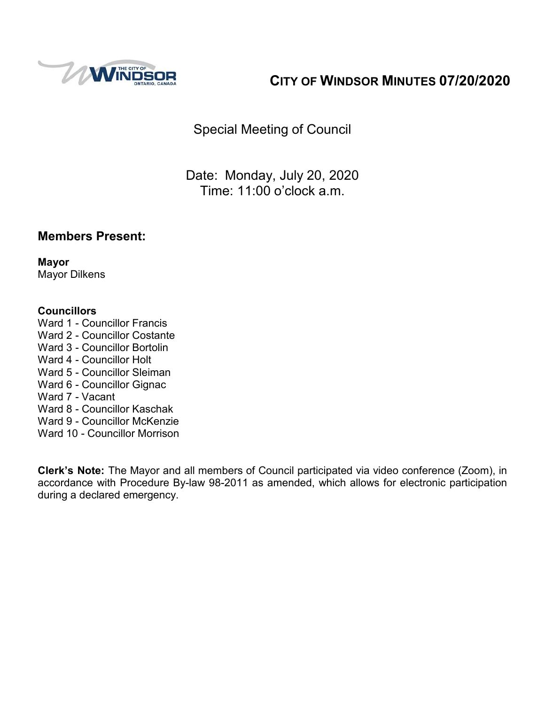

# **CITY OF WINDSOR MINUTES 07/20/2020**

Special Meeting of Council

Date: Monday, July 20, 2020 Time: 11:00 o'clock a.m.

### **Members Present:**

**Mayor** Mayor Dilkens

#### **Councillors**

- Ward 1 Councillor Francis
- Ward 2 Councillor Costante
- Ward 3 Councillor Bortolin
- Ward 4 Councillor Holt
- Ward 5 Councillor Sleiman
- Ward 6 Councillor Gignac
- Ward 7 Vacant
- Ward 8 Councillor Kaschak
- Ward 9 Councillor McKenzie
- Ward 10 Councillor Morrison

**Clerk's Note:** The Mayor and all members of Council participated via video conference (Zoom), in accordance with Procedure By-law 98-2011 as amended, which allows for electronic participation during a declared emergency.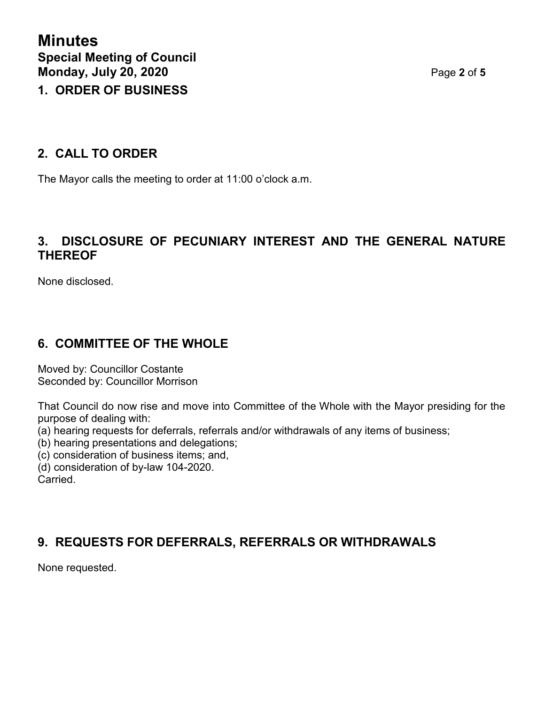### **2. CALL TO ORDER**

The Mayor calls the meeting to order at 11:00 o'clock a.m.

### **3. DISCLOSURE OF PECUNIARY INTEREST AND THE GENERAL NATURE THEREOF**

None disclosed.

## **6. COMMITTEE OF THE WHOLE**

Moved by: Councillor Costante Seconded by: Councillor Morrison

That Council do now rise and move into Committee of the Whole with the Mayor presiding for the purpose of dealing with:

(a) hearing requests for deferrals, referrals and/or withdrawals of any items of business;

(b) hearing presentations and delegations;

(c) consideration of business items; and,

(d) consideration of by-law 104-2020.

Carried.

## **9. REQUESTS FOR DEFERRALS, REFERRALS OR WITHDRAWALS**

None requested.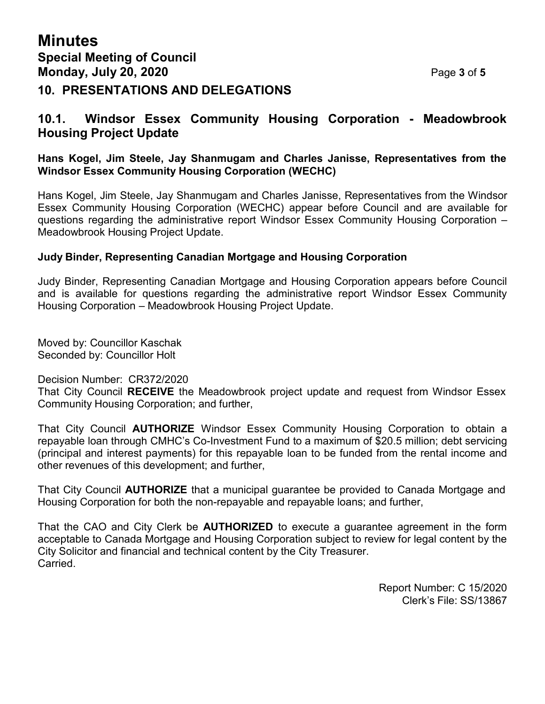### **10.1. Windsor Essex Community Housing Corporation - Meadowbrook Housing Project Update**

#### **Hans Kogel, Jim Steele, Jay Shanmugam and Charles Janisse, Representatives from the Windsor Essex Community Housing Corporation (WECHC)**

Hans Kogel, Jim Steele, Jay Shanmugam and Charles Janisse, Representatives from the Windsor Essex Community Housing Corporation (WECHC) appear before Council and are available for questions regarding the administrative report Windsor Essex Community Housing Corporation – Meadowbrook Housing Project Update.

#### **Judy Binder, Representing Canadian Mortgage and Housing Corporation**

Judy Binder, Representing Canadian Mortgage and Housing Corporation appears before Council and is available for questions regarding the administrative report Windsor Essex Community Housing Corporation – Meadowbrook Housing Project Update.

Moved by: Councillor Kaschak Seconded by: Councillor Holt

Decision Number: CR372/2020

That City Council **RECEIVE** the Meadowbrook project update and request from Windsor Essex Community Housing Corporation; and further,

That City Council **AUTHORIZE** Windsor Essex Community Housing Corporation to obtain a repayable loan through CMHC's Co-Investment Fund to a maximum of \$20.5 million; debt servicing (principal and interest payments) for this repayable loan to be funded from the rental income and other revenues of this development; and further,

That City Council **AUTHORIZE** that a municipal guarantee be provided to Canada Mortgage and Housing Corporation for both the non-repayable and repayable loans; and further,

That the CAO and City Clerk be **AUTHORIZED** to execute a guarantee agreement in the form acceptable to Canada Mortgage and Housing Corporation subject to review for legal content by the City Solicitor and financial and technical content by the City Treasurer. Carried.

> Report Number: C 15/2020 Clerk's File: SS/13867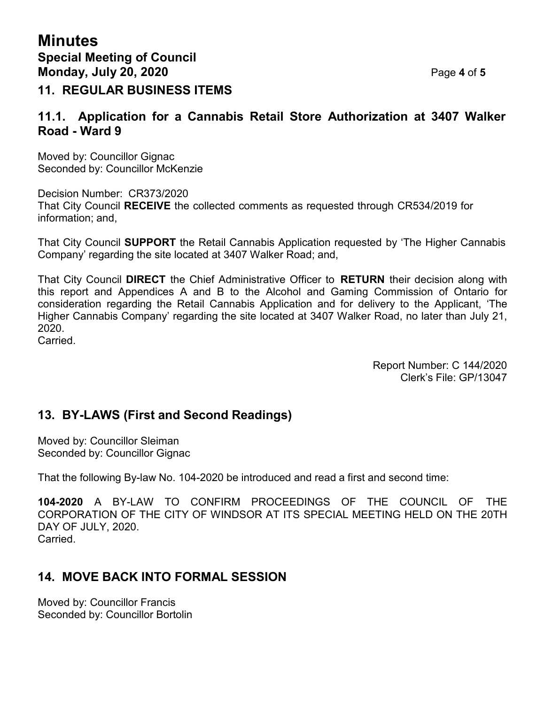### **11. REGULAR BUSINESS ITEMS**

### **11.1. Application for a Cannabis Retail Store Authorization at 3407 Walker Road - Ward 9**

Moved by: Councillor Gignac Seconded by: Councillor McKenzie

Decision Number: CR373/2020 That City Council **RECEIVE** the collected comments as requested through CR534/2019 for information; and,

That City Council **SUPPORT** the Retail Cannabis Application requested by 'The Higher Cannabis Company' regarding the site located at 3407 Walker Road; and,

That City Council **DIRECT** the Chief Administrative Officer to **RETURN** their decision along with this report and Appendices A and B to the Alcohol and Gaming Commission of Ontario for consideration regarding the Retail Cannabis Application and for delivery to the Applicant, 'The Higher Cannabis Company' regarding the site located at 3407 Walker Road, no later than July 21, 2020.

Carried.

Report Number: C 144/2020 Clerk's File: GP/13047

## **13. BY-LAWS (First and Second Readings)**

Moved by: Councillor Sleiman Seconded by: Councillor Gignac

That the following By-law No. 104-2020 be introduced and read a first and second time:

**104-2020** A BY-LAW TO CONFIRM PROCEEDINGS OF THE COUNCIL OF THE CORPORATION OF THE CITY OF WINDSOR AT ITS SPECIAL MEETING HELD ON THE 20TH DAY OF JULY, 2020. Carried.

## **14. MOVE BACK INTO FORMAL SESSION**

Moved by: Councillor Francis Seconded by: Councillor Bortolin